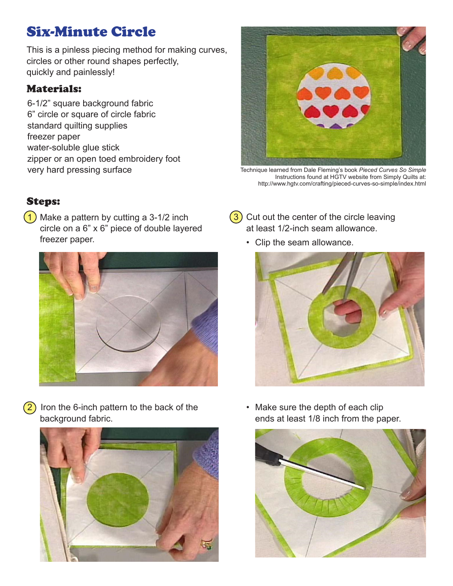## Six-Minute Circle

This is a pinless piecing method for making curves, circles or other round shapes perfectly, quickly and painlessly!

## Materials:

6-1/2" square background fabric 6" circle or square of circle fabric standard quilting supplies freezer paper water-soluble glue stick zipper or an open toed embroidery foot very hard pressing surface



Technique learned from Dale Fleming's book *Pieced Curves So Simple* Instructions found at HGTV website from Simply Quilts at: http://www.hgtv.com/crafting/pieced-curves-so-simple/index.html

## Steps:

 $(1)$  Make a pattern by cutting a 3-1/2 inch circle on a 6" x 6" piece of double layered freezer paper.



 $(2)$  Iron the 6-inch pattern to the back of the background fabric.



- $(3)$  Cut out the center of the circle leaving at least 1/2-inch seam allowance.
	- • Clip the seam allowance.



• Make sure the depth of each clip ends at least 1/8 inch from the paper.